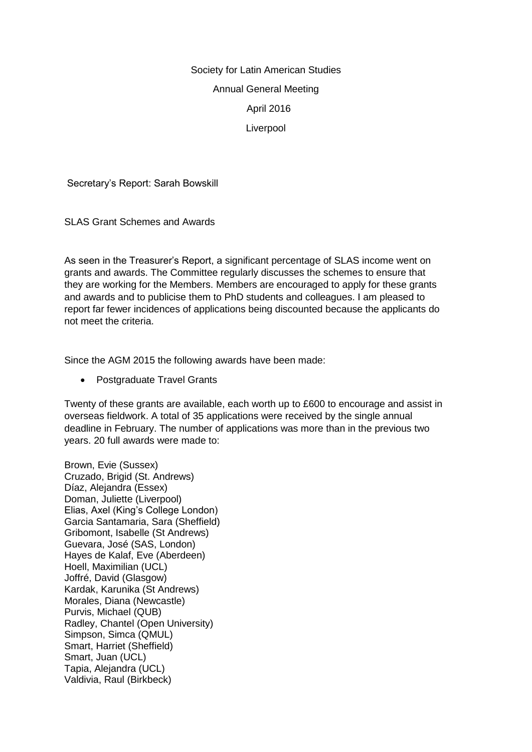# Society for Latin American Studies Annual General Meeting April 2016 Liverpool

Secretary's Report: Sarah Bowskill

SLAS Grant Schemes and Awards

As seen in the Treasurer's Report, a significant percentage of SLAS income went on grants and awards. The Committee regularly discusses the schemes to ensure that they are working for the Members. Members are encouraged to apply for these grants and awards and to publicise them to PhD students and colleagues. I am pleased to report far fewer incidences of applications being discounted because the applicants do not meet the criteria.

Since the AGM 2015 the following awards have been made:

• Postgraduate Travel Grants

Twenty of these grants are available, each worth up to £600 to encourage and assist in overseas fieldwork. A total of 35 applications were received by the single annual deadline in February. The number of applications was more than in the previous two years. 20 full awards were made to:

Brown, Evie (Sussex) Cruzado, Brigid (St. Andrews) Díaz, Alejandra (Essex) Doman, Juliette (Liverpool) Elias, Axel (King's College London) Garcia Santamaria, Sara (Sheffield) Gribomont, Isabelle (St Andrews) Guevara, José (SAS, London) Hayes de Kalaf, Eve (Aberdeen) Hoell, Maximilian (UCL) Joffré, David (Glasgow) Kardak, Karunika (St Andrews) Morales, Diana (Newcastle) Purvis, Michael (QUB) Radley, Chantel (Open University) Simpson, Simca (QMUL) Smart, Harriet (Sheffield) Smart, Juan (UCL) Tapia, Alejandra (UCL) Valdivia, Raul (Birkbeck)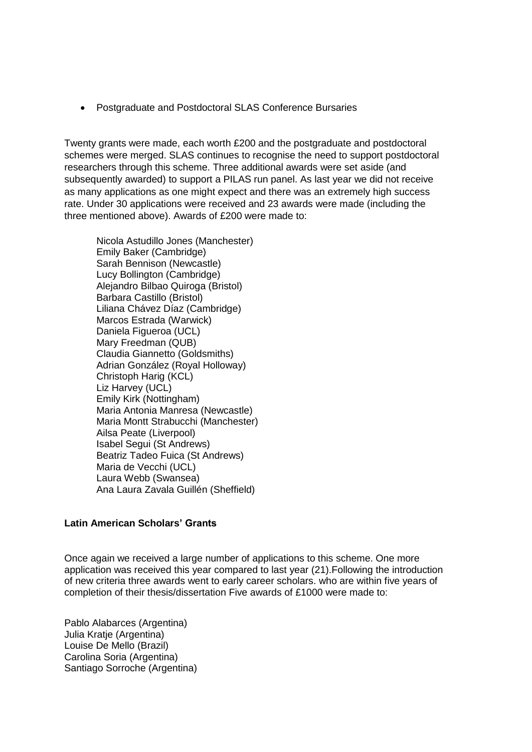Postgraduate and Postdoctoral SLAS Conference Bursaries

Twenty grants were made, each worth £200 and the postgraduate and postdoctoral schemes were merged. SLAS continues to recognise the need to support postdoctoral researchers through this scheme. Three additional awards were set aside (and subsequently awarded) to support a PILAS run panel. As last year we did not receive as many applications as one might expect and there was an extremely high success rate. Under 30 applications were received and 23 awards were made (including the three mentioned above). Awards of £200 were made to:

Nicola Astudillo Jones (Manchester) Emily Baker (Cambridge) Sarah Bennison (Newcastle) Lucy Bollington (Cambridge) Alejandro Bilbao Quiroga (Bristol) Barbara Castillo (Bristol) Liliana Chávez Díaz (Cambridge) Marcos Estrada (Warwick) Daniela Figueroa (UCL) Mary Freedman (QUB) Claudia Giannetto (Goldsmiths) Adrian González (Royal Holloway) Christoph Harig (KCL) Liz Harvey (UCL) Emily Kirk (Nottingham) Maria Antonia Manresa (Newcastle) Maria Montt Strabucchi (Manchester) Ailsa Peate (Liverpool) Isabel Segui (St Andrews) Beatriz Tadeo Fuica (St Andrews) Maria de Vecchi (UCL) Laura Webb (Swansea) Ana Laura Zavala Guillén (Sheffield)

## **Latin American Scholars' Grants**

Once again we received a large number of applications to this scheme. One more application was received this year compared to last year (21).Following the introduction of new criteria three awards went to early career scholars. who are within five years of completion of their thesis/dissertation Five awards of £1000 were made to:

Pablo Alabarces (Argentina) Julia Kratie (Argentina) Louise De Mello (Brazil) Carolina Soria (Argentina) Santiago Sorroche (Argentina)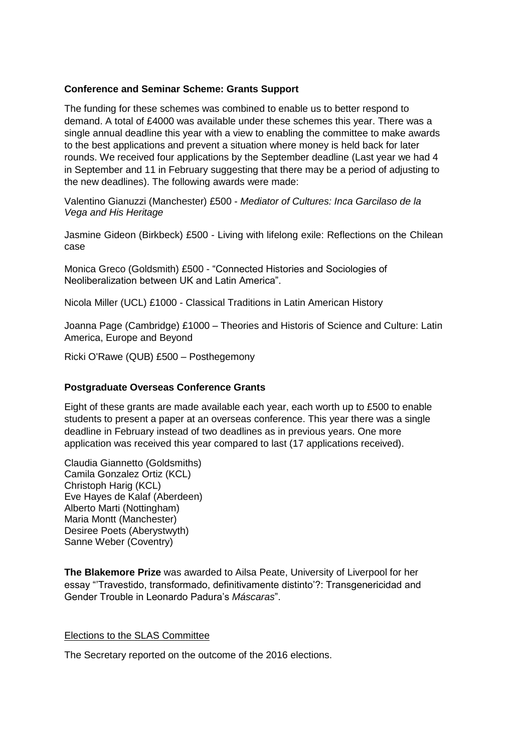## **Conference and Seminar Scheme: Grants Support**

The funding for these schemes was combined to enable us to better respond to demand. A total of £4000 was available under these schemes this year. There was a single annual deadline this year with a view to enabling the committee to make awards to the best applications and prevent a situation where money is held back for later rounds. We received four applications by the September deadline (Last year we had 4 in September and 11 in February suggesting that there may be a period of adjusting to the new deadlines). The following awards were made:

Valentino Gianuzzi (Manchester) £500 - *Mediator of Cultures: Inca Garcilaso de la Vega and His Heritage*

Jasmine Gideon (Birkbeck) £500 - Living with lifelong exile: Reflections on the Chilean case

Monica Greco (Goldsmith) £500 - "Connected Histories and Sociologies of Neoliberalization between UK and Latin America".

Nicola Miller (UCL) £1000 - Classical Traditions in Latin American History

Joanna Page (Cambridge) £1000 – Theories and Historis of Science and Culture: Latin America, Europe and Beyond

Ricki O'Rawe (QUB) £500 – Posthegemony

### **Postgraduate Overseas Conference Grants**

Eight of these grants are made available each year, each worth up to £500 to enable students to present a paper at an overseas conference. This year there was a single deadline in February instead of two deadlines as in previous years. One more application was received this year compared to last (17 applications received).

Claudia Giannetto (Goldsmiths) Camila Gonzalez Ortiz (KCL) Christoph Harig (KCL) Eve Hayes de Kalaf (Aberdeen) Alberto Marti (Nottingham) Maria Montt (Manchester) Desiree Poets (Aberystwyth) Sanne Weber (Coventry)

**The Blakemore Prize** was awarded to Ailsa Peate, University of Liverpool for her essay "'Travestido, transformado, definitivamente distinto'?: Transgenericidad and Gender Trouble in Leonardo Padura's *Máscaras*".

### Elections to the SLAS Committee

The Secretary reported on the outcome of the 2016 elections.